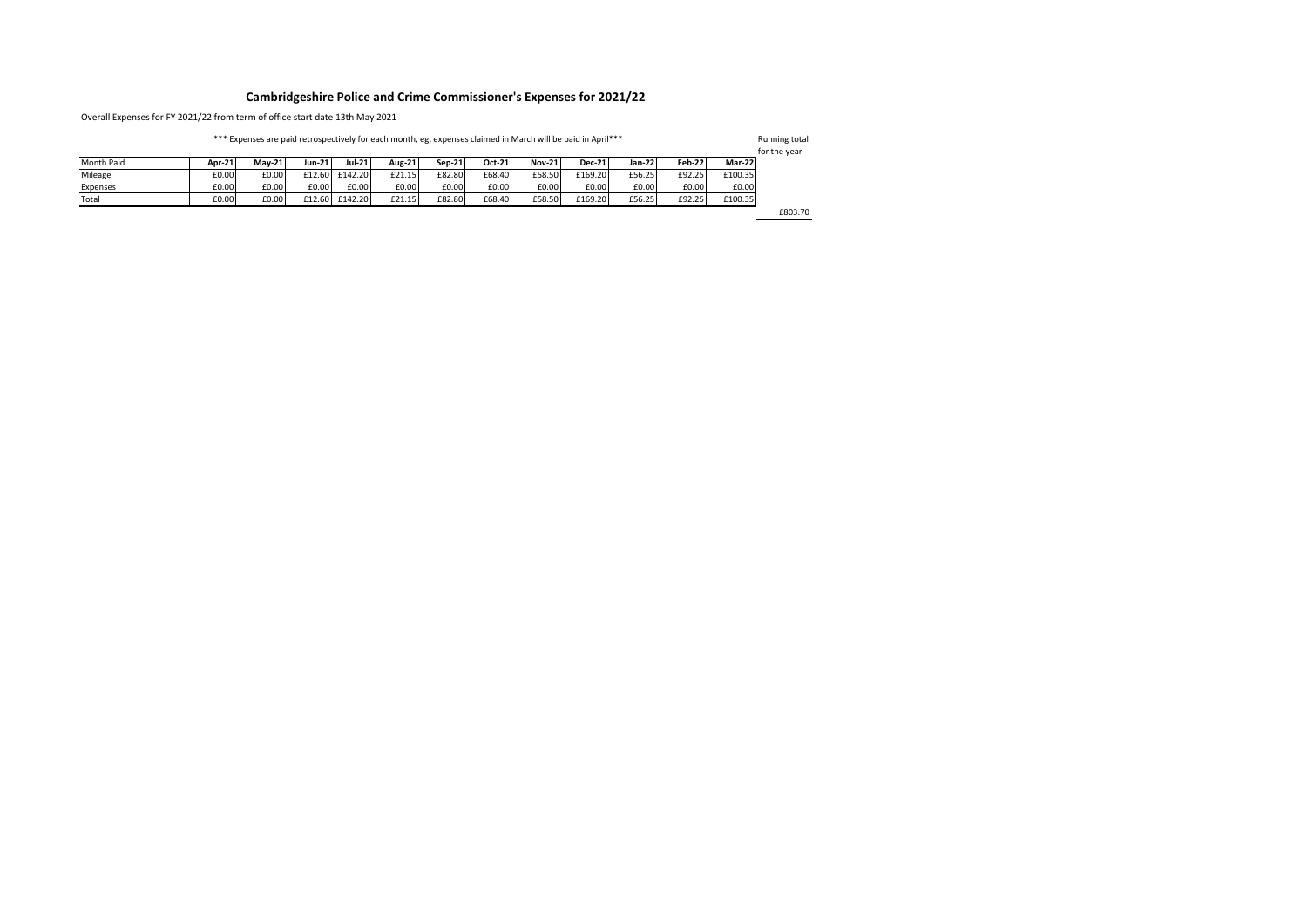## **Cambridgeshire Police and Crime Commissioner's Expenses for 2021/22**

Overall Expenses for FY 2021/22 from term of office start date 13th May 2021

\*\*\* Expenses are paid retrospectively for each month, eg, expenses claimed in March will be paid in April\*\*\*

Running total for the year

|            |        |               |               |         |               |        |        |               |               |        |               |         | TUI LITE VEAT |
|------------|--------|---------------|---------------|---------|---------------|--------|--------|---------------|---------------|--------|---------------|---------|---------------|
| Month Paid | Apr-21 | <b>Mav-21</b> | <b>Jun-21</b> | Jul-21  | <b>Aug-21</b> | Sep-21 | Oct-21 | <b>Nov-21</b> | <b>Dec-21</b> | Jan-22 | <b>Feb-22</b> | Mar-22  |               |
| Mileage    | £0.00  | £0.00         | £12.60        | £142.20 | £21.15        | £82.80 | £68.40 | £58.50        | £169.20       | £56.25 | £92.25        | £100.35 |               |
| Expenses   | £0.00  | £0.00         | £0.00         | £0.00   | £0.00         | £0.00  | £0.00  | £0.00         | £0.00         | £0.00  | £0.00         | £0.00   |               |
| Total      | £0.00  | £0.00         | £12.60        | £142.20 | £21.15        | £82.80 | £68.40 | £58.50        | £169.20       | £56.25 | £92.25        | £100.35 |               |
|            |        |               |               |         |               |        |        |               |               |        |               |         | £803.70       |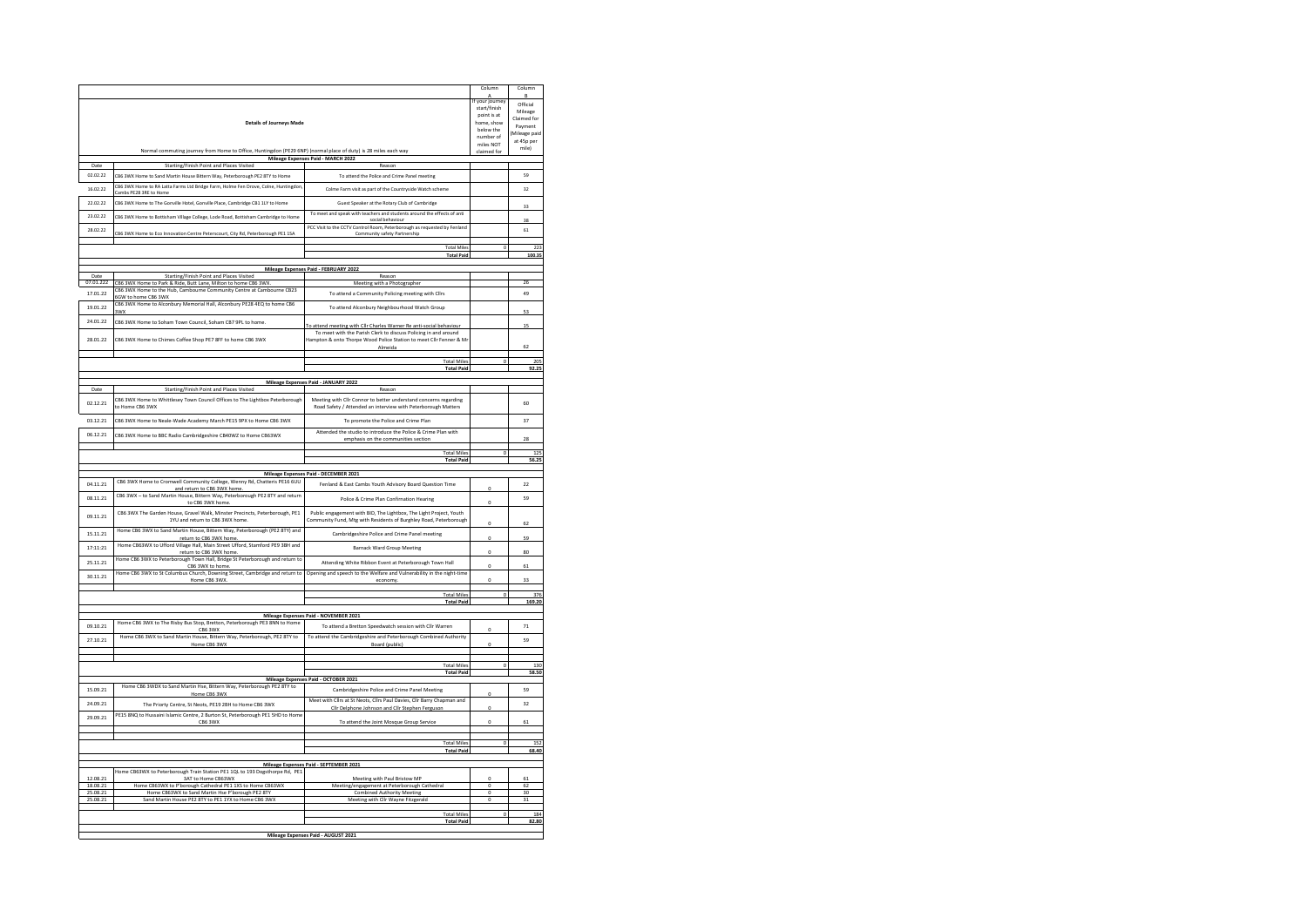|                      |                                                                                                                 |                                                                                                                                       | Column                      | Column                 |
|----------------------|-----------------------------------------------------------------------------------------------------------------|---------------------------------------------------------------------------------------------------------------------------------------|-----------------------------|------------------------|
|                      |                                                                                                                 |                                                                                                                                       | A<br>If your journey        | R<br>Official          |
|                      |                                                                                                                 |                                                                                                                                       | start/finish<br>point is at | Mileage                |
|                      | <b>Details of Journeys Made</b>                                                                                 |                                                                                                                                       | home, show                  | Claimed for<br>Payment |
|                      |                                                                                                                 |                                                                                                                                       | below the<br>number of      | (Mileage paid          |
|                      |                                                                                                                 |                                                                                                                                       | miles NOT                   | at 45p per<br>mile)    |
|                      | Normal commuting journey from Home to Office, Huntingdon (PE29 6NP) (normal place of duty) is 28 miles each way | Mileage Expenses Paid - MARCH 2022                                                                                                    | claimed for                 |                        |
| Date                 | Starting/Finish Point and Places Visited                                                                        | Reason                                                                                                                                |                             |                        |
| 02.02.22             | CB6 3WX Home to Sand Martin House Bittern Way, Peterborough PE2 8TY to Home                                     | To attend the Police and Crime Panel meeting                                                                                          |                             | 59                     |
| 16.02.22             | CB6 3WX Home to RA Latta Farms Ltd Bridge Farm, Holme Fen Drove, Colne, Huntingdon<br>Cambs PE28 3RE to Home    | Colme Farm visit as part of the Countryside Watch scheme                                                                              |                             | 32                     |
| 22.02.22             | CB6 3WX Home to The Gonville Hotel, Gonville Place, Cambridge CB1 1LY to Home                                   | Guest Speaker at the Rotary Club of Cambridge                                                                                         |                             |                        |
| 23.02.22             | CB6 3WX Home to Bottisham Village College, Lode Road, Bottisham Cambridge to Home                               | To meet and speak with teachers and students around the effects of anti                                                               |                             | 33                     |
|                      |                                                                                                                 | social behaviour<br>PCC Visit to the CCTV Control Room, Peterborough as requested by Fenland                                          |                             | 38                     |
| 28.02.22             | CB6 3WX Home to Eco Innovation Centre Peterscourt, City Rd, Peterborough PE1 1SA                                | Community safety Partnership                                                                                                          |                             | 61                     |
|                      |                                                                                                                 | <b>Total Miles</b>                                                                                                                    |                             | 223                    |
|                      |                                                                                                                 | <b>Total Paid</b>                                                                                                                     |                             | 100.35                 |
|                      |                                                                                                                 | Mileage Expenses Paid - FEBRUARY 2022                                                                                                 |                             |                        |
| Date<br>07.01.222    | Starting/Finish Point and Places Visited<br>CB6 3WX Home to Park & Ride, Butt Lane, Milton to home CB6 3WX      | Reason<br>Meeting with a Photographer                                                                                                 |                             | 26                     |
| 17.01.22             | CB6 3WX Home to the Hub, Cambourne Community Centre at Cambourne CB23                                           | To attend a Community Policing meeting with Cllrs                                                                                     |                             | 49                     |
| 19.01.22             | 6GW to home CB6 3WX<br>CB6 3WX Home to Alconbury Memorial Hall, Alconbury PE28 4EQ to home CB6                  |                                                                                                                                       |                             |                        |
|                      | 3WX                                                                                                             | To attend Alconbury Neighbourhood Watch Group                                                                                         |                             | 53                     |
| 24.01.22             | CB6 3WX Home to Soham Town Council, Soham CB7 9PL to home.                                                      | To attend meeting with Cllr Charles Warner Re anti-social behaviour                                                                   |                             | 15                     |
| 28.01.22             | CB6 3WX Home to Chimes Coffee Shop PE7 8FF to home CB6 3WX                                                      | To meet with the Parish Clerk to discuss Policing in and around<br>Hampton & onto Thorpe Wood Police Station to meet Cllr Fenner & Mr |                             |                        |
|                      |                                                                                                                 | Almeida                                                                                                                               |                             | 62                     |
|                      |                                                                                                                 | <b>Total Miles</b>                                                                                                                    |                             | 205                    |
|                      |                                                                                                                 | <b>Total Paid</b>                                                                                                                     |                             | 92.25                  |
|                      |                                                                                                                 | Mileage Expenses Paid - JANUARY 2022                                                                                                  |                             |                        |
| Date                 | Starting/Finish Point and Places Visited                                                                        | Reason                                                                                                                                |                             |                        |
| 02.12.21             | CB6 3WX Home to Whittlesey Town Council Offices to The Lightbox Peterborough<br>to Home CB6 3WX                 | Meeting with Cllr Connor to better understand concerns regarding<br>Road Safety / Attended an interview with Peterborough Matters     |                             | 60                     |
| 03.12.21             | CB6 3WX Home to Neale-Wade Academy March PE15 9PX to Home CB6 3WX                                               | To promote the Police and Crime Plan                                                                                                  |                             | $\overline{37}$        |
| 06.12.21             | CB6 3WX Home to BBC Radio Cambridgeshire CB40WZ to Home CB63WX                                                  | Attended the studio to introduce the Police & Crime Plan with                                                                         |                             |                        |
|                      |                                                                                                                 | emphasis on the communities section                                                                                                   |                             | 28                     |
|                      |                                                                                                                 | <b>Total Mile</b><br><b>Total Paid</b>                                                                                                |                             | 125<br>56.25           |
|                      |                                                                                                                 |                                                                                                                                       |                             |                        |
| 04.11.21             | CB6 3WX Home to Cromwell Community College, Wenny Rd, Chatteris PE16 6UU                                        | Mileage Expenses Paid - DECEMBER 2021<br>Fenland & East Cambs Youth Advisory Board Question Time                                      |                             | $_{22}$                |
| 08.11.21             | and return to CB6 3WX home.<br>CB6 3WX - to Sand Martin House, Bittern Way, Peterborough PE2 8TY and return     | Police & Crime Plan Confirnation Hearing                                                                                              | $\Omega$                    | 59                     |
| 09.11.21             | to CB6 3WX home<br>CB6 3WX The Garden House, Gravel Walk, Minster Precincts, Peterborough, PE1                  | Public engagement with BID, The Lightbox, The Light Project, Youth                                                                    | o                           |                        |
|                      | 1YU and return to CB6 3WX home.<br>Home CB6 3WX to Sand Martin House, Bittern Way, Peterborough (PE2 8TY) and   | Community Fund, Mtg with Residents of Burghley Road, Peterborough                                                                     | $\Omega$                    | 62                     |
| 15.11.21             | return to CB6 3WX home                                                                                          | Cambridgeshire Police and Crime Panel meeting                                                                                         | o                           | 59                     |
| 17:11:21             | Home CB63WX to Ufford Village Hall, Main Street Ufford, Stamford PE9 3BH and<br>return to CB6 3WX home          | <b>Barnack Ward Group Meeting</b>                                                                                                     | c                           | 80                     |
| 25.11.21             | Home CB6 3WX to Peterborough Town Hall, Bridge St Peterborough and return to<br>CB6 3WX to home.                | Attending White Ribbon Event at Peterborough Town Hall                                                                                | $\theta$                    |                        |
| 30.11.21             | Home CB6 3WX to St Columbus Church, Downing Street, Cambridge and return to                                     | Opening and speech to the Welfare and Vulnerability in the night-time                                                                 |                             | 61                     |
|                      | Home CB6 3WX                                                                                                    | economy.                                                                                                                              | o                           | 33                     |
|                      |                                                                                                                 | <b>Total Miles</b>                                                                                                                    | $\Omega$                    | 376                    |
|                      |                                                                                                                 | <b>Total Paid</b>                                                                                                                     |                             | 169.20                 |
|                      | Home CB6 3WX to The Risby Bus Stop, Bretton, Peterborough PE3 8NN to Home                                       | Mileage Expenses Paid - NOVEMBER 2021                                                                                                 |                             |                        |
| 09.10.21             | CB6 3WX                                                                                                         | To attend a Bretton Speedwatch session with Cllr Warrer                                                                               | o                           | 71                     |
| 27.10.21             | Home CB6 3WX to Sand Martin House, Bittern Way, Peterborough, PE2 8TY to<br>Home CB6 3WX                        | To attend the Cambridgeshire and Peterborough Combined Authority<br>Board (public)                                                    | o                           | 59                     |
|                      |                                                                                                                 |                                                                                                                                       |                             |                        |
|                      |                                                                                                                 | <b>Total Miles</b><br><b>Total Paid</b>                                                                                               |                             | 130<br>58.50           |
|                      |                                                                                                                 | Mileage Expenses Paid - OCTOBER 2021                                                                                                  |                             |                        |
| 15.09.21             | Home CB6 3WDX to Sand Martin Hse, Bittern Way, Peterborough PE2 8TY to<br>Home CB6 3WX                          | Cambridgeshire Police and Crime Panel Meeting                                                                                         | $\Omega$                    | 59                     |
| 24.09.21             | The Priorty Centre, St Neots, PE19 2BH to Home CB6 3WX                                                          | Meet with Clirs at St Neots, Clirs Paul Davies, Clir Barry Chapman and<br>Cllr Delphone Johnson and Cllr Stephen Ferguson             |                             | 32                     |
| 29.09.21             | PE15 8NQ to Hussaini Islamic Centre, 2 Burton St, Peterborough PE1 5HD to Home                                  |                                                                                                                                       | $\Omega$                    | 61                     |
|                      | CB6 3WX                                                                                                         | To attend the Joint Mosque Group Service                                                                                              |                             |                        |
|                      |                                                                                                                 | <b>Total Mile</b>                                                                                                                     |                             | 152                    |
|                      |                                                                                                                 | <b>Total Paid</b>                                                                                                                     |                             | 68.40                  |
|                      |                                                                                                                 | Mileage Expenses Paid - SEPTEMBER 2021                                                                                                |                             |                        |
|                      | Home CB63WX to Peterborough Train Station PE1 1QL to 193 Dogsthorpe Rd, PE1                                     |                                                                                                                                       | $\overline{0}$              |                        |
| 12.08.21<br>18.08.21 | 3AT to Home CB63WX<br>Home CB63WX to P'borough Cathedral PE1 1XS to Home CB63WX                                 | Meeting with Paul Bristow MP<br>Meeting/engagement at Peterborough Cathedral                                                          | $\circ$                     | 61<br>62               |
| 25.08.21             | Home CB63WX to Sand Martin Hse P'borough PE2 8TY                                                                | <b>Combined Authority Meeting</b>                                                                                                     | $\circ$                     | 30<br>31               |
| 25.08.21             | Sand Martin House PE2 8TY to PE1 1YX to Home CB6 3WX                                                            | Meeting with Cllr Wayne Fitzgerald                                                                                                    | $\circ$                     |                        |
|                      |                                                                                                                 |                                                                                                                                       |                             |                        |
|                      |                                                                                                                 | <b>Total Miles</b>                                                                                                                    | $\overline{0}$              | 184                    |
|                      |                                                                                                                 | <b>Total Paid</b><br>Mileage Expenses Paid - AUGUST 2021                                                                              |                             | 82.80                  |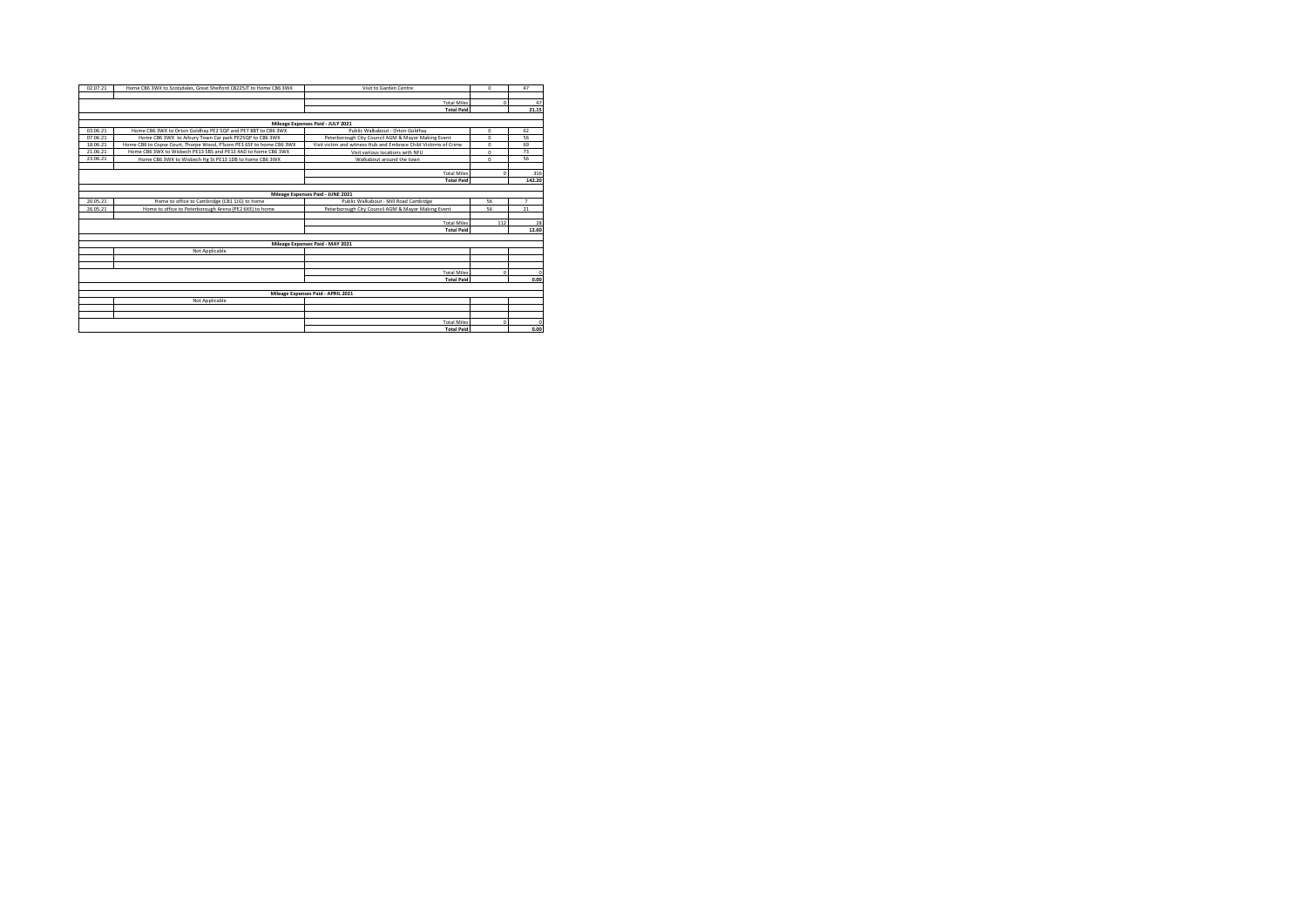| 02.07.21                           | Home CB6 3WX to Scotsdales, Great Shelford CB225JT to Home CB6 3WX                                           | Visit to Garden Centre                                           | $\Omega$   | 47             |  |  |  |  |
|------------------------------------|--------------------------------------------------------------------------------------------------------------|------------------------------------------------------------------|------------|----------------|--|--|--|--|
|                                    |                                                                                                              |                                                                  |            |                |  |  |  |  |
|                                    |                                                                                                              | <b>Total Miles</b>                                               | $\Omega$   | 47             |  |  |  |  |
|                                    |                                                                                                              | <b>Total Paid</b>                                                |            | 21.15          |  |  |  |  |
|                                    |                                                                                                              |                                                                  |            |                |  |  |  |  |
|                                    |                                                                                                              | Mileage Expenses Paid - JULY 2021                                |            |                |  |  |  |  |
| 03.06.21                           | Home CB6 3WX to Orton Goldhay PE2 5QP and PE7 8BT to CB6 3WX                                                 | Public Walkabout - Orton Goldhav                                 | $\circ$    | 62             |  |  |  |  |
| 07.06.21                           | Home CB6 3WX to Arbury Town Car park PE25OP to CB6 3WX                                                       | Peterborough City Council AGM & Mayor Making Event               | $\circ$    | 56             |  |  |  |  |
| 18.06.21                           | Home CB6 to Copse Court, Thorpe Wood, P'boro PE3 6SF to home CB6 3WX                                         | Visit victim and witness Hub and Embrace Child Victirms of Crime | $\circ$    | 69             |  |  |  |  |
| 21.06.21                           | Home CB6 3WX to Wisbech PE13 5BS and PE13 4AD to home CB6 3WX                                                | Visit various locations with NFU                                 | $\circ$    | 73             |  |  |  |  |
| 23.06.21                           | Home CB6 3WX to Wisbech Hg St PE13 1DB to home CB6 3WX                                                       | Walkabout around the town                                        | $\Omega$   | 56             |  |  |  |  |
|                                    |                                                                                                              |                                                                  |            |                |  |  |  |  |
|                                    |                                                                                                              | <b>Total Miles</b>                                               | $\Omega$   | 316            |  |  |  |  |
|                                    |                                                                                                              | <b>Total Paid</b>                                                |            | 142.20         |  |  |  |  |
|                                    |                                                                                                              |                                                                  |            |                |  |  |  |  |
|                                    | Mileage Expenses Paid - JUNE 2021                                                                            |                                                                  |            |                |  |  |  |  |
| 20.05.21                           | Home to office to Cambridge (CB1 1JG) to home                                                                | Public Walkabout - Mill Road Cambrdge                            | 56         | $\overline{7}$ |  |  |  |  |
| 26.05.21                           | Home to office to Peterborough Arena (PE2 6XE) to home<br>Peterborough City Council AGM & Mayor Making Event |                                                                  | 56         | 21             |  |  |  |  |
|                                    |                                                                                                              |                                                                  |            |                |  |  |  |  |
|                                    |                                                                                                              | <b>Total Miles</b>                                               | 112        | 28             |  |  |  |  |
|                                    |                                                                                                              | <b>Total Paid</b>                                                |            | 12.60          |  |  |  |  |
|                                    |                                                                                                              |                                                                  |            |                |  |  |  |  |
|                                    |                                                                                                              | Mileage Expenses Paid - MAY 2021                                 |            |                |  |  |  |  |
|                                    | Not Applicable                                                                                               |                                                                  |            |                |  |  |  |  |
|                                    |                                                                                                              |                                                                  |            |                |  |  |  |  |
|                                    |                                                                                                              |                                                                  |            |                |  |  |  |  |
|                                    |                                                                                                              | <b>Total Miles</b>                                               | $\sqrt{2}$ | $\Omega$       |  |  |  |  |
|                                    |                                                                                                              | <b>Total Paid</b>                                                |            | 0.00           |  |  |  |  |
|                                    |                                                                                                              |                                                                  |            |                |  |  |  |  |
| Mileage Expenses Paid - APRIL 2021 |                                                                                                              |                                                                  |            |                |  |  |  |  |
|                                    | Not Applicable                                                                                               |                                                                  |            |                |  |  |  |  |
|                                    |                                                                                                              |                                                                  |            |                |  |  |  |  |
|                                    |                                                                                                              |                                                                  |            |                |  |  |  |  |
|                                    |                                                                                                              | <b>Total Miles</b>                                               | $\Omega$   | $\Omega$       |  |  |  |  |
|                                    |                                                                                                              | <b>Total Paid</b>                                                |            | 0.00           |  |  |  |  |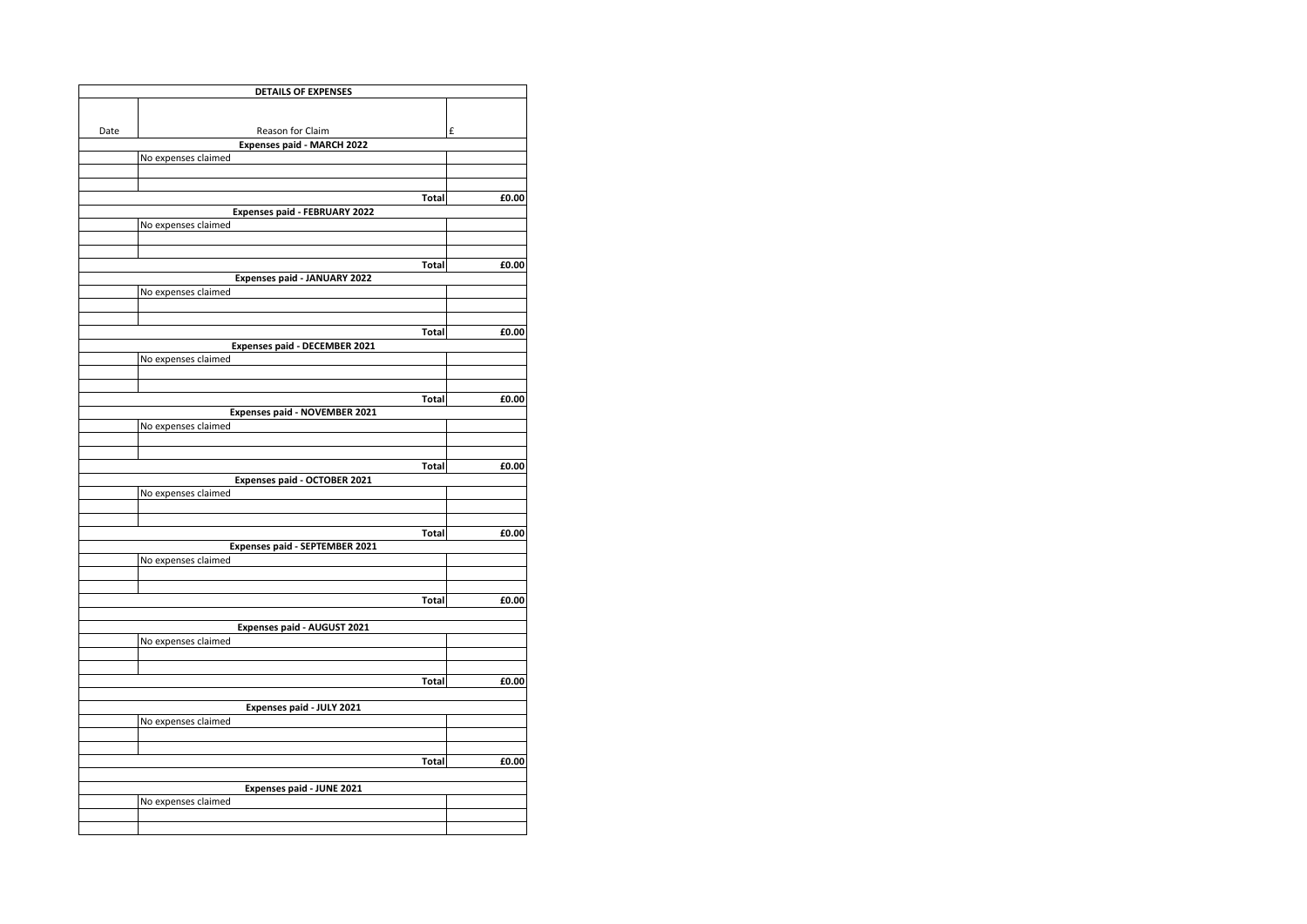|      | <b>DETAILS OF EXPENSES</b>            |              |       |
|------|---------------------------------------|--------------|-------|
|      |                                       |              |       |
|      | Reason for Claim                      |              | £     |
| Date | Expenses paid - MARCH 2022            |              |       |
|      | No expenses claimed                   |              |       |
|      |                                       |              |       |
|      |                                       |              |       |
|      |                                       | Total        | £0.00 |
|      | Expenses paid - FEBRUARY 2022         |              |       |
|      | No expenses claimed                   |              |       |
|      |                                       |              |       |
|      |                                       |              |       |
|      | Expenses paid - JANUARY 2022          | <b>Total</b> | £0.00 |
|      | No expenses claimed                   |              |       |
|      |                                       |              |       |
|      |                                       |              |       |
|      |                                       | <b>Total</b> | £0.00 |
|      | <b>Expenses paid - DECEMBER 2021</b>  |              |       |
|      | No expenses claimed                   |              |       |
|      |                                       |              |       |
|      |                                       |              |       |
|      |                                       | Total        | £0.00 |
|      | Expenses paid - NOVEMBER 2021         |              |       |
|      | No expenses claimed                   |              |       |
|      |                                       |              |       |
|      |                                       | <b>Total</b> | £0.00 |
|      | Expenses paid - OCTOBER 2021          |              |       |
|      | No expenses claimed                   |              |       |
|      |                                       |              |       |
|      |                                       |              |       |
|      |                                       | Total        | £0.00 |
|      | <b>Expenses paid - SEPTEMBER 2021</b> |              |       |
|      | No expenses claimed                   |              |       |
|      |                                       |              |       |
|      |                                       | Total        | £0.00 |
|      |                                       |              |       |
|      | Expenses paid - AUGUST 2021           |              |       |
|      | No expenses claimed                   |              |       |
|      |                                       |              |       |
|      |                                       |              |       |
|      |                                       | <b>Total</b> | £0.00 |
|      |                                       |              |       |
|      | Expenses paid - JULY 2021             |              |       |
|      | No expenses claimed                   |              |       |
|      |                                       |              |       |
|      |                                       | Total        | £0.00 |
|      |                                       |              |       |
|      | Expenses paid - JUNE 2021             |              |       |
|      | No expenses claimed                   |              |       |
|      |                                       |              |       |
|      |                                       |              |       |